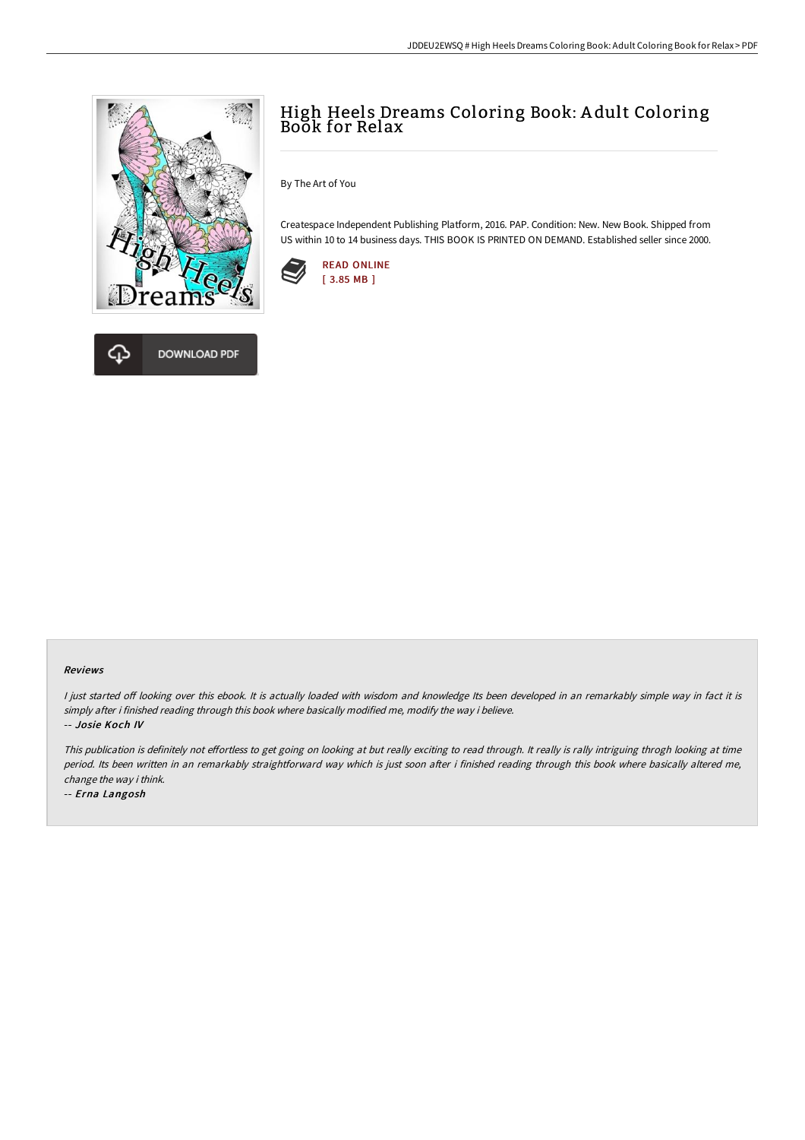



By The Art of You

Createspace Independent Publishing Platform, 2016. PAP. Condition: New. New Book. Shipped from US within 10 to 14 business days. THIS BOOK IS PRINTED ON DEMAND. Established seller since 2000.



## Reviews

I just started off looking over this ebook. It is actually loaded with wisdom and knowledge Its been developed in an remarkably simple way in fact it is simply after i finished reading through this book where basically modified me, modify the way i believe. -- Josie Koch IV

This publication is definitely not effortless to get going on looking at but really exciting to read through. It really is rally intriguing throgh looking at time period. Its been written in an remarkably straightforward way which is just soon after i finished reading through this book where basically altered me, change the way i think.

-- Erna Langosh